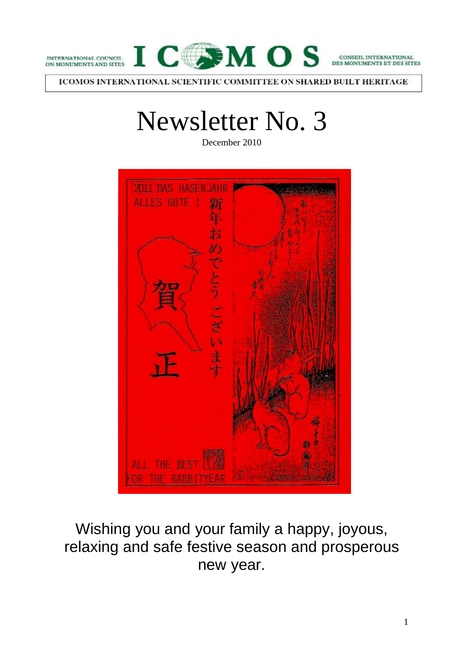



CONSEIL INTERNATIONAL **ET DES SITES** 

ICOMOS INTERNATIONAL SCIENTIFIC COMMITTEE ON SHARED BUILT HERITAGE

# Newsletter No. 3

December 2010



Wishing you and your family a happy, joyous, relaxing and safe festive season and prosperous new year.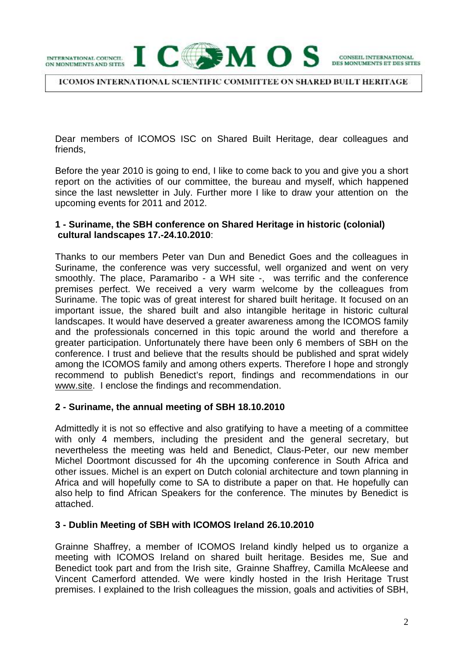INTERNATIONAL COUNCIL ON MONUMENTS AND SITES



CONSEIL INTERNATIONAL MONUMENTS ET DES SITES

**ICOMOS INTERNATIONAL SCIENTIFIC COMMITTEE ON SHARED BUILT HERITAGE** 

Dear members of ICOMOS ISC on Shared Built Heritage, dear colleagues and friends,

Before the year 2010 is going to end, I like to come back to you and give you a short report on the activities of our committee, the bureau and myself, which happened since the last newsletter in July. Further more I like to draw your attention on the upcoming events for 2011 and 2012.

## **1 - Suriname, the SBH conference on Shared Heritage in historic (colonial) cultural landscapes 17.-24.10.2010**:

Thanks to our members Peter van Dun and Benedict Goes and the colleagues in Suriname, the conference was very successful, well organized and went on very smoothly. The place, Paramaribo - a WH site -, was terrific and the conference premises perfect. We received a very warm welcome by the colleagues from Suriname. The topic was of great interest for shared built heritage. It focused on an important issue, the shared built and also intangible heritage in historic cultural landscapes. It would have deserved a greater awareness among the ICOMOS family and the professionals concerned in this topic around the world and therefore a greater participation. Unfortunately there have been only 6 members of SBH on the conference. I trust and believe that the results should be published and sprat widely among the ICOMOS family and among others experts. Therefore I hope and strongly recommend to publish Benedict's report, findings and recommendations in our www.site. I enclose the findings and recommendation.

#### **2 - Suriname, the annual meeting of SBH 18.10.2010**

Admittedly it is not so effective and also gratifying to have a meeting of a committee with only 4 members, including the president and the general secretary, but nevertheless the meeting was held and Benedict, Claus-Peter, our new member Michel Doortmont discussed for 4h the upcoming conference in South Africa and other issues. Michel is an expert on Dutch colonial architecture and town planning in Africa and will hopefully come to SA to distribute a paper on that. He hopefully can also help to find African Speakers for the conference. The minutes by Benedict is attached.

#### **3 - Dublin Meeting of SBH with ICOMOS Ireland 26.10.2010**

Grainne Shaffrey, a member of ICOMOS Ireland kindly helped us to organize a meeting with ICOMOS Ireland on shared built heritage. Besides me, Sue and Benedict took part and from the Irish site, Grainne Shaffrey, Camilla McAleese and Vincent Camerford attended. We were kindly hosted in the Irish Heritage Trust premises. I explained to the Irish colleagues the mission, goals and activities of SBH,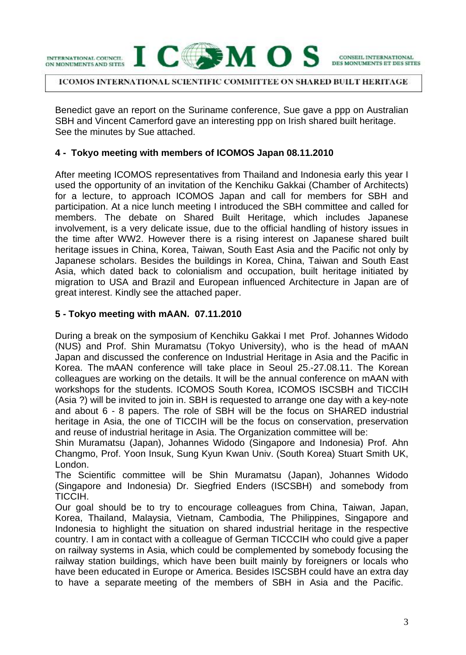

#### ICOMOS INTERNATIONAL SCIENTIFIC COMMITTEE ON SHARED BUILT HERITAGE.

Benedict gave an report on the Suriname conference, Sue gave a ppp on Australian SBH and Vincent Camerford gave an interesting ppp on Irish shared built heritage. See the minutes by Sue attached.

#### **4 - Tokyo meeting with members of ICOMOS Japan 08.11.2010**

After meeting ICOMOS representatives from Thailand and Indonesia early this year I used the opportunity of an invitation of the Kenchiku Gakkai (Chamber of Architects) for a lecture, to approach ICOMOS Japan and call for members for SBH and participation. At a nice lunch meeting I introduced the SBH committee and called for members. The debate on Shared Built Heritage, which includes Japanese involvement, is a very delicate issue, due to the official handling of history issues in the time after WW2. However there is a rising interest on Japanese shared built heritage issues in China, Korea, Taiwan, South East Asia and the Pacific not only by Japanese scholars. Besides the buildings in Korea, China, Taiwan and South East Asia, which dated back to colonialism and occupation, built heritage initiated by migration to USA and Brazil and European influenced Architecture in Japan are of great interest. Kindly see the attached paper.

## **5 - Tokyo meeting with mAAN. 07.11.2010**

During a break on the symposium of Kenchiku Gakkai I met Prof. Johannes Widodo (NUS) and Prof. Shin Muramatsu (Tokyo University), who is the head of mAAN Japan and discussed the conference on Industrial Heritage in Asia and the Pacific in Korea. The mAAN conference will take place in Seoul 25.-27.08.11. The Korean colleagues are working on the details. It will be the annual conference on mAAN with workshops for the students. ICOMOS South Korea, ICOMOS ISCSBH and TICCIH (Asia ?) will be invited to join in. SBH is requested to arrange one day with a key-note and about 6 - 8 papers. The role of SBH will be the focus on SHARED industrial heritage in Asia, the one of TICCIH will be the focus on conservation, preservation and reuse of industrial heritage in Asia. The Organization committee will be:

Shin Muramatsu (Japan), Johannes Widodo (Singapore and Indonesia) Prof. Ahn Changmo, Prof. Yoon Insuk, Sung Kyun Kwan Univ. (South Korea) Stuart Smith UK, London.

The Scientific committee will be Shin Muramatsu (Japan), Johannes Widodo (Singapore and Indonesia) Dr. Siegfried Enders (ISCSBH) and somebody from TICCIH.

Our goal should be to try to encourage colleagues from China, Taiwan, Japan, Korea, Thailand, Malaysia, Vietnam, Cambodia, The Philippines, Singapore and Indonesia to highlight the situation on shared industrial heritage in the respective country. I am in contact with a colleague of German TICCCIH who could give a paper on railway systems in Asia, which could be complemented by somebody focusing the railway station buildings, which have been built mainly by foreigners or locals who have been educated in Europe or America. Besides ISCSBH could have an extra day to have a separate meeting of the members of SBH in Asia and the Pacific.

CONSEIL INTERNATIONAL

MONUMENTS ET DES SITES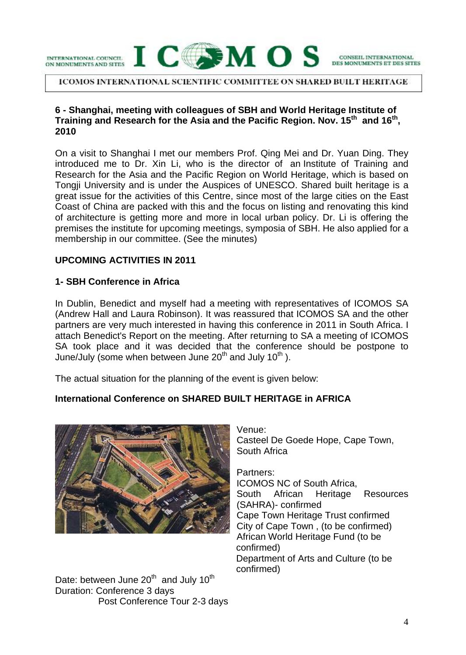



**ICOMOS INTERNATIONAL SCIENTIFIC COMMITTEE ON SHARED BUILT HERITAGE** 

## **6 - Shanghai, meeting with colleagues of SBH and World Heritage Institute of Training and Research for the Asia and the Pacific Region. Nov. 15th and 16th , 2010**

On a visit to Shanghai I met our members Prof. Qing Mei and Dr. Yuan Ding. They introduced me to Dr. Xin Li, who is the director of an Institute of Training and Research for the Asia and the Pacific Region on World Heritage, which is based on Tongji University and is under the Auspices of UNESCO. Shared built heritage is a great issue for the activities of this Centre, since most of the large cities on the East Coast of China are packed with this and the focus on listing and renovating this kind of architecture is getting more and more in local urban policy. Dr. Li is offering the premises the institute for upcoming meetings, symposia of SBH. He also applied for a membership in our committee. (See the minutes)

## **UPCOMING ACTIVITIES IN 2011**

#### **1- SBH Conference in Africa**

In Dublin, Benedict and myself had a meeting with representatives of ICOMOS SA (Andrew Hall and Laura Robinson). It was reassured that ICOMOS SA and the other partners are very much interested in having this conference in 2011 in South Africa. I attach Benedict's Report on the meeting. After returning to SA a meeting of ICOMOS SA took place and it was decided that the conference should be postpone to June/July (some when between June  $20<sup>th</sup>$  and July 10<sup>th</sup>).

The actual situation for the planning of the event is given below:

# **International Conference on SHARED BUILT HERITAGE in AFRICA**



Date: between June 20<sup>th</sup> and July 10<sup>th</sup> Duration: Conference 3 days Post Conference Tour 2-3 days Venue: Casteel De Goede Hope, Cape Town, South Africa

CONSEIL INTERNATIONAL

Partners: ICOMOS NC of South Africa, South African Heritage Resources (SAHRA)- confirmed Cape Town Heritage Trust confirmed City of Cape Town , (to be confirmed) African World Heritage Fund (to be confirmed) Department of Arts and Culture (to be confirmed)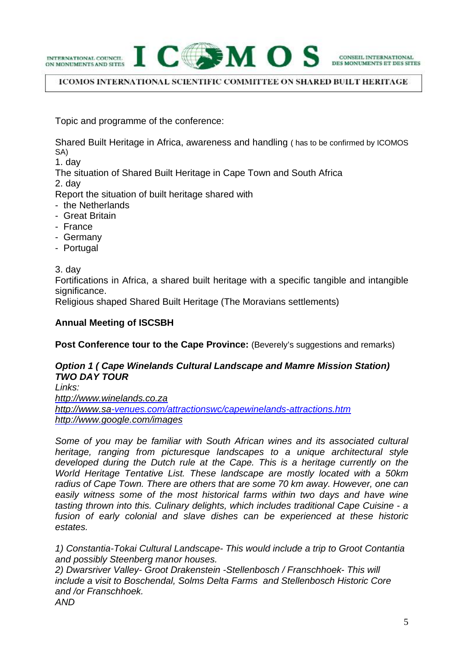INTERNATIONAL COUNCIL ON MONUMENTS AND SITES



#### **ICOMOS INTERNATIONAL SCIENTIFIC COMMITTEE ON SHARED BUILT HERITAGE**

Topic and programme of the conference:

Shared Built Heritage in Africa, awareness and handling ( has to be confirmed by ICOMOS SA)

1. day

The situation of Shared Built Heritage in Cape Town and South Africa

2. day

Report the situation of built heritage shared with

- the Netherlands
- Great Britain
- France
- Germany
- Portugal

3. day

Fortifications in Africa, a shared built heritage with a specific tangible and intangible significance.

Religious shaped Shared Built Heritage (The Moravians settlements)

## **Annual Meeting of ISCSBH**

**Post Conference tour to the Cape Province:** (Beverely's suggestions and remarks)

## *Option 1 ( Cape Winelands Cultural Landscape and Mamre Mission Station) TWO DAY TOUR*

*Links: <http://www.winelands.co.za> <http://www.sa>-venues.com/attractionswc/capewinelands-attractions.htm <http://www.google.com/images>*

*Some of you may be familiar with South African wines and its associated cultural heritage, ranging from picturesque landscapes to a unique architectural style developed during the Dutch rule at the Cape. This is a heritage currently on the World Heritage Tentative List. These landscape are mostly located with a 50km radius of Cape Town. There are others that are some 70 km away. However, one can*  easily witness some of the most historical farms within two days and have wine *tasting thrown into this. Culinary delights, which includes traditional Cape Cuisine - a fusion of early colonial and slave dishes can be experienced at these historic estates.*

*1) Constantia-Tokai Cultural Landscape- This would include a trip to Groot Contantia and possibly Steenberg manor houses. 2) Dwarsriver Valley- Groot Drakenstein -Stellenbosch / Franschhoek- This will* 

*include a visit to Boschendal, Solms Delta Farms and Stellenbosch Historic Core and /or Franschhoek.*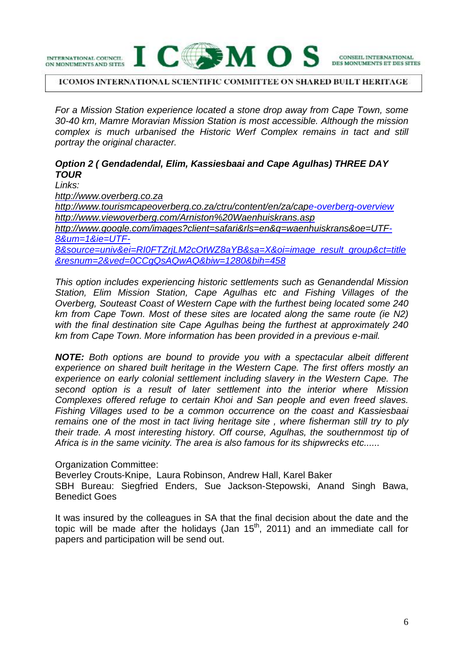

#### **ICOMOS INTERNATIONAL SCIENTIFIC COMMITTEE ON SHARED BUILT HERITAGE**

*For a Mission Station experience located a stone drop away from Cape Town, some 30-40 km, Mamre Moravian Mission Station is most accessible. Although the mission complex is much urbanised the Historic Werf Complex remains in tact and still portray the original character.*

# *Option 2 ( Gendadendal, Elim, Kassiesbaai and Cape Agulhas) THREE DAY TOUR*

*Links: <http://www.overberg.co.za> <http://www.tourismcapeoverberg.co.za/ctru/content/en/za/cap>e-overberg-overview <http://www.viewoverberg.com/Arniston%20Waenhuiskrans.asp> [http://www.google.com/images?client=safari&rls=en&q=waenhuiskrans&oe=UTF-](http://www.google.com/images?client=safari&rls=en&q=waenhuiskrans&oe=UTF)8&um=1&ie=UTF-8&source=univ&ei=RI0FTZrjLM2cOtWZ8aYB&sa=X&oi=image\_result\_group&ct=title &resnum=2&ved=0CCgQsAQwAQ&biw=1280&bih=458*

*This option includes experiencing historic settlements such as Genandendal Mission Station, Elim Mission Station, Cape Agulhas etc and Fishing Villages of the Overberg, Souteast Coast of Western Cape with the furthest being located some 240 km from Cape Town. Most of these sites are located along the same route (ie N2) with the final destination site Cape Agulhas being the furthest at approximately 240 km from Cape Town. More information has been provided in a previous e-mail.*

*NOTE: Both options are bound to provide you with a spectacular albeit different experience on shared built heritage in the Western Cape. The first offers mostly an experience on early colonial settlement including slavery in the Western Cape. The second option is a result of later settlement into the interior where Mission Complexes offered refuge to certain Khoi and San people and even freed slaves. Fishing Villages used to be a common occurrence on the coast and Kassiesbaai remains one of the most in tact living heritage site , where fisherman still try to ply their trade. A most interesting history. Off course, Agulhas, the southernmost tip of Africa is in the same vicinity. The area is also famous for its shipwrecks etc......*

Organization Committee:

Beverley Crouts-Knipe, Laura Robinson, Andrew Hall, Karel Baker SBH Bureau: Siegfried Enders, Sue Jackson-Stepowski, Anand Singh Bawa, Benedict Goes

It was insured by the colleagues in SA that the final decision about the date and the topic will be made after the holidays (Jan  $15<sup>th</sup>$ , 2011) and an immediate call for papers and participation will be send out.

CONSEIL INTERNATIONAL